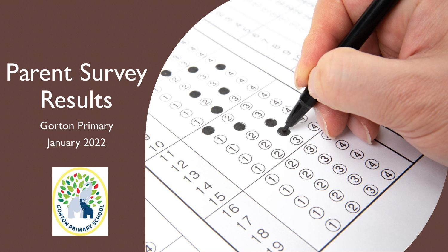# Parent Survey **Results**

Gorton Primary January 2022



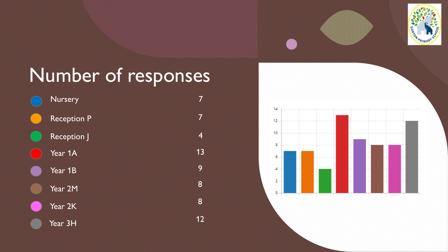



## Number of responses



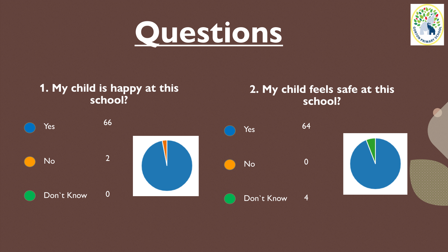



## **1. My child is happy at this school?**

### **2. My child feels safe at this school?**

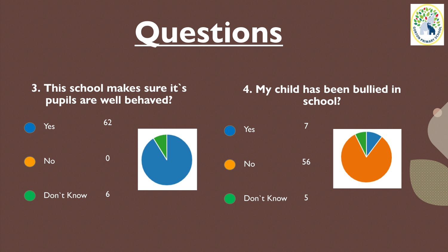



**3. This school makes sure it`s pupils are well behaved?**

#### **4. My child has been bullied in school?**

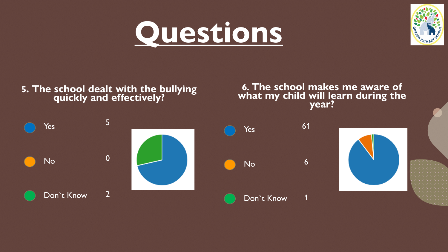



#### **5. The school dealt with the bullying quickly and effectively?**

**6. The school makes me aware of what my child will learn during the year?**

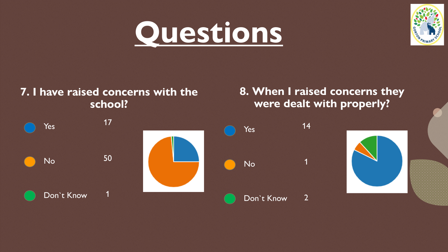



#### **7. I have raised concerns with the school?**

## **8. When I raised concerns they were dealt with properly?**

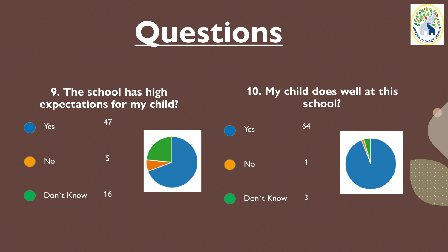



### **9. The school has high expectations for my child?**

#### **10. My child does well at this school?**

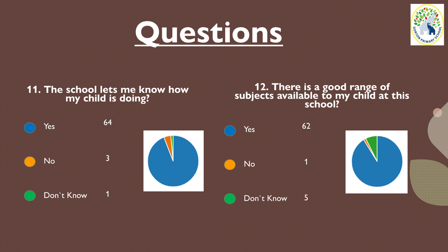



#### **11. The school lets me know how my child is doing?**

**12. There is a good range of subjects available to my child at this school?**

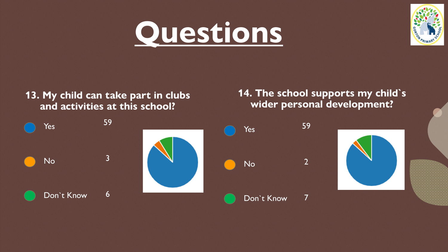# **Questions**



#### **13. My child can take part in clubs and activities at this school?**

**14. The school supports my child`s wider personal development?**

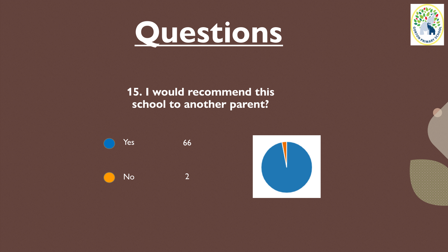